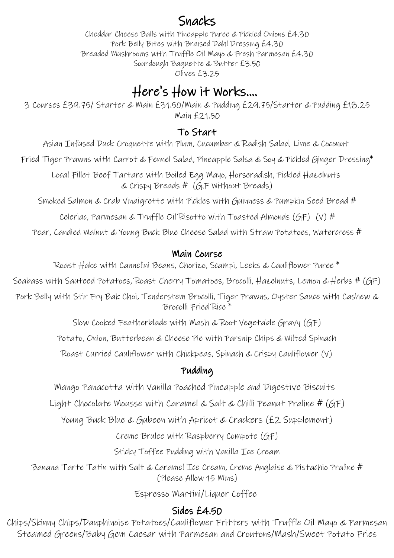## Snacks

Cheddar Cheese Balls with Pineapple Puree & Pickled Onions £4.30 Pork Belly Bites with Braised Dahl Dressing £4.30 Breaded Mushrooms with Truffle Oil Mayo & Fresh Parmesan £4.30 Sourdough Baguette & Butter £3.50 Olives £3.25

## Here's How it Works....

3 Courses £39.75/ Starter & Main £31.50/Main & Pudding £29.75/Starter & Pudding £18.25 Main £21.50

#### To Start

Asian Infused Duck Croquette with Plum, Cucumber & Radish Salad, Lime & Coconut

Fried Tiger Prawns with Carrot & Fennel Salad, Pineapple Salsa & Soy & Pickled Ginger Dressing\*

Local Fillet Beef Tartare with Boiled Egg Mayo, Horseradish, Pickled Hazelnuts & Crispy Breads # (G.F Without Breads)

Smoked Salmon & Crab Vinaigrette with Pickles with Guinness & Pumpkin Seed Bread #

Celeriac, Parmesan & Truffle Oil Risotto with Toasted Almonds (GF) (V) #

Pear, Candied Walnut & Young Buck Blue Cheese Salad with Straw Potatoes, Watercress #

#### Main Course

Roast Hake with Cannelini Beans, Chorizo, Scampi, Leeks & Cauliflower Puree \*

Seabass with Sauteed Potatoes, Roast Cherry Tomatoes, Brocolli, Hazelnuts, Lemon & Herbs # (GF)

Pork Belly with Stir Fry Bak Choi, Tenderstem Brocolli, Tiger Prawns, Oyster Sauce with Cashew & Brocolli Fried Rice \*

Slow Cooked Featherblade with Mash & Root Vegetable Gravy (GF)

Potato, Onion, Butterbean & Cheese Pie with Parsnip Chips & Wilted Spinach

Roast Curried Cauliflower with Chickpeas, Spinach & Crispy Cauliflower (V)

## Pudding

Mango Panacotta with Vanilla Poached Pineapple and Digestive Biscuits

Light Chocolate Mousse with Caramel & Salt & Chilli Peanut Praline # (GF)

Young Buck Blue & Gubeen with Apricot & Crackers (£2 Supplement)

Creme Brulee with Raspberry Compote (GF)

Sticky Toffee Pudding with Vanilla Ice Cream

Banana Tarte Tatin with Salt & Caramel Ice Cream, Creme Anglaise & Pistachio Praline # (Please Allow 15 Mins)

Espresso Martini/Liquer Coffee

## Sides £4.50

Chips/Skinny Chips/Dauphinoise Potatoes/Cauliflower Fritters with Truffle Oil Mayo & Parmesan Steamed Greens/Baby Gem Caesar with Parmesan and Croutons/Mash/Sweet Potato Fries